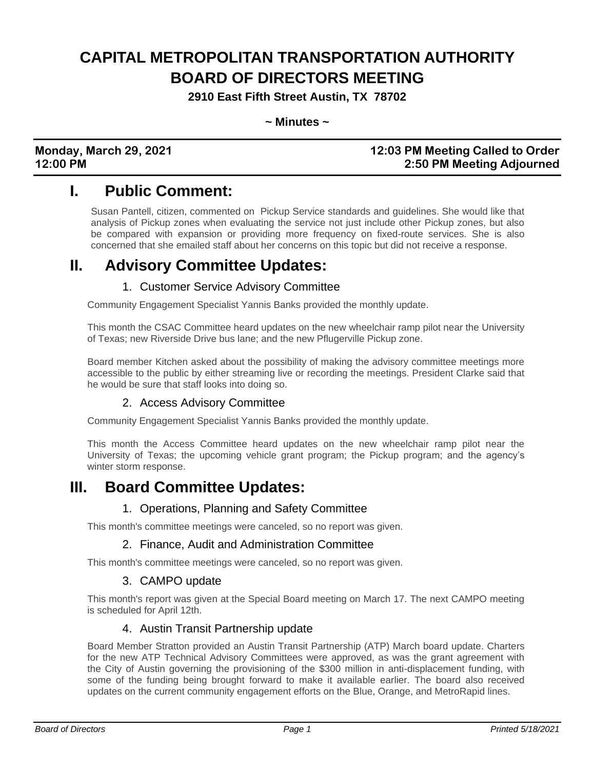# **CAPITAL METROPOLITAN TRANSPORTATION AUTHORITY BOARD OF DIRECTORS MEETING**

**2910 East Fifth Street Austin, TX 78702**

**~ Minutes ~**

### **Monday, March 29, 2021 12:03 PM Meeting Called to Order 12:00 PM 2:50 PM Meeting Adjourned**

### **I. Public Comment:**

Susan Pantell, citizen, commented on Pickup Service standards and guidelines. She would like that analysis of Pickup zones when evaluating the service not just include other Pickup zones, but also be compared with expansion or providing more frequency on fixed-route services. She is also concerned that she emailed staff about her concerns on this topic but did not receive a response.

### **II. Advisory Committee Updates:**

### 1. Customer Service Advisory Committee

Community Engagement Specialist Yannis Banks provided the monthly update.

This month the CSAC Committee heard updates on the new wheelchair ramp pilot near the University of Texas; new Riverside Drive bus lane; and the new Pflugerville Pickup zone.

Board member Kitchen asked about the possibility of making the advisory committee meetings more accessible to the public by either streaming live or recording the meetings. President Clarke said that he would be sure that staff looks into doing so.

### 2. Access Advisory Committee

Community Engagement Specialist Yannis Banks provided the monthly update.

This month the Access Committee heard updates on the new wheelchair ramp pilot near the University of Texas; the upcoming vehicle grant program; the Pickup program; and the agency's winter storm response.

### **III. Board Committee Updates:**

#### 1. Operations, Planning and Safety Committee

This month's committee meetings were canceled, so no report was given.

#### 2. Finance, Audit and Administration Committee

This month's committee meetings were canceled, so no report was given.

#### 3. CAMPO update

This month's report was given at the Special Board meeting on March 17. The next CAMPO meeting is scheduled for April 12th.

#### 4. Austin Transit Partnership update

Board Member Stratton provided an Austin Transit Partnership (ATP) March board update. Charters for the new ATP Technical Advisory Committees were approved, as was the grant agreement with the City of Austin governing the provisioning of the \$300 million in anti-displacement funding, with some of the funding being brought forward to make it available earlier. The board also received updates on the current community engagement efforts on the Blue, Orange, and MetroRapid lines.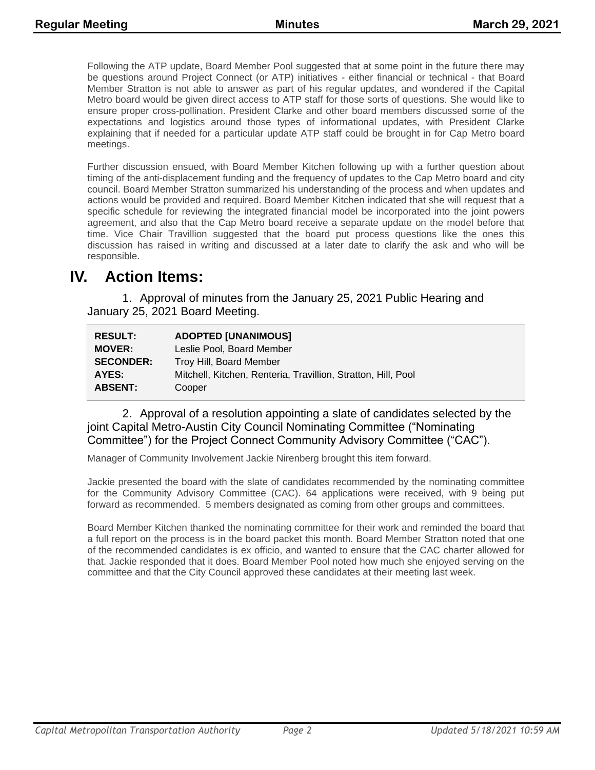Following the ATP update, Board Member Pool suggested that at some point in the future there may be questions around Project Connect (or ATP) initiatives - either financial or technical - that Board Member Stratton is not able to answer as part of his regular updates, and wondered if the Capital Metro board would be given direct access to ATP staff for those sorts of questions. She would like to ensure proper cross-pollination. President Clarke and other board members discussed some of the expectations and logistics around those types of informational updates, with President Clarke explaining that if needed for a particular update ATP staff could be brought in for Cap Metro board meetings.

Further discussion ensued, with Board Member Kitchen following up with a further question about timing of the anti-displacement funding and the frequency of updates to the Cap Metro board and city council. Board Member Stratton summarized his understanding of the process and when updates and actions would be provided and required. Board Member Kitchen indicated that she will request that a specific schedule for reviewing the integrated financial model be incorporated into the joint powers agreement, and also that the Cap Metro board receive a separate update on the model before that time. Vice Chair Travillion suggested that the board put process questions like the ones this discussion has raised in writing and discussed at a later date to clarify the ask and who will be responsible.

### **IV. Action Items:**

1. Approval of minutes from the January 25, 2021 Public Hearing and January 25, 2021 Board Meeting.

| <b>RESULT:</b>   | <b>ADOPTED [UNANIMOUS]</b>                                    |
|------------------|---------------------------------------------------------------|
| <b>MOVER:</b>    | Leslie Pool, Board Member                                     |
| <b>SECONDER:</b> | Troy Hill, Board Member                                       |
| AYES:            | Mitchell, Kitchen, Renteria, Travillion, Stratton, Hill, Pool |
| <b>ABSENT:</b>   | Cooper                                                        |

2. Approval of a resolution appointing a slate of candidates selected by the joint Capital Metro-Austin City Council Nominating Committee ("Nominating Committee") for the Project Connect Community Advisory Committee ("CAC").

Manager of Community Involvement Jackie Nirenberg brought this item forward.

Jackie presented the board with the slate of candidates recommended by the nominating committee for the Community Advisory Committee (CAC). 64 applications were received, with 9 being put forward as recommended. 5 members designated as coming from other groups and committees.

Board Member Kitchen thanked the nominating committee for their work and reminded the board that a full report on the process is in the board packet this month. Board Member Stratton noted that one of the recommended candidates is ex officio, and wanted to ensure that the CAC charter allowed for that. Jackie responded that it does. Board Member Pool noted how much she enjoyed serving on the committee and that the City Council approved these candidates at their meeting last week.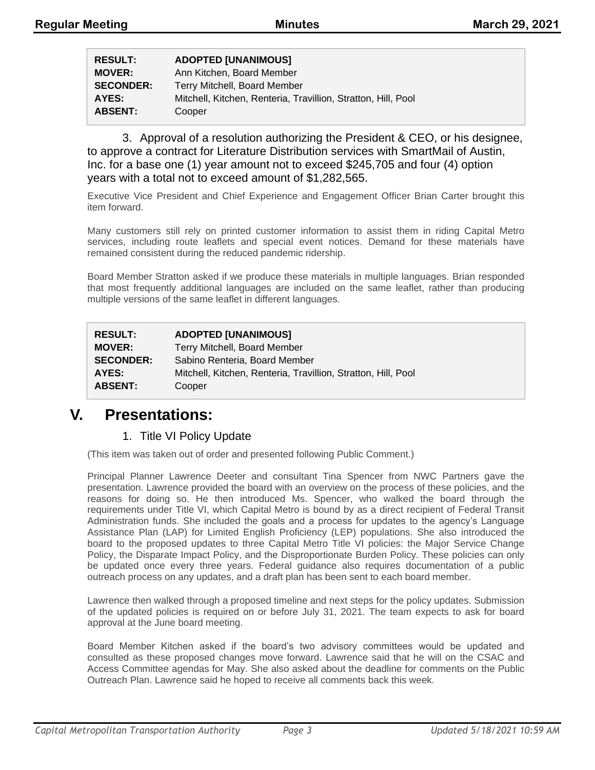| <b>RESULT:</b>   | <b>ADOPTED [UNANIMOUS]</b>                                    |
|------------------|---------------------------------------------------------------|
| <b>MOVER:</b>    | Ann Kitchen, Board Member                                     |
| <b>SECONDER:</b> | Terry Mitchell, Board Member                                  |
| AYES:            | Mitchell, Kitchen, Renteria, Travillion, Stratton, Hill, Pool |
| <b>ABSENT:</b>   | Cooper                                                        |

3. Approval of a resolution authorizing the President & CEO, or his designee, to approve a contract for Literature Distribution services with SmartMail of Austin, Inc. for a base one (1) year amount not to exceed \$245,705 and four (4) option years with a total not to exceed amount of \$1,282,565.

Executive Vice President and Chief Experience and Engagement Officer Brian Carter brought this item forward.

Many customers still rely on printed customer information to assist them in riding Capital Metro services, including route leaflets and special event notices. Demand for these materials have remained consistent during the reduced pandemic ridership.

Board Member Stratton asked if we produce these materials in multiple languages. Brian responded that most frequently additional languages are included on the same leaflet, rather than producing multiple versions of the same leaflet in different languages.

| <b>RESULT:</b>   | <b>ADOPTED [UNANIMOUS]</b>                                    |
|------------------|---------------------------------------------------------------|
| <b>MOVER:</b>    | Terry Mitchell, Board Member                                  |
| <b>SECONDER:</b> | Sabino Renteria, Board Member                                 |
| AYES:            | Mitchell, Kitchen, Renteria, Travillion, Stratton, Hill, Pool |
| <b>ABSENT:</b>   | Cooper                                                        |

### **V. Presentations:**

### 1. Title VI Policy Update

(This item was taken out of order and presented following Public Comment.)

Principal Planner Lawrence Deeter and consultant Tina Spencer from NWC Partners gave the presentation. Lawrence provided the board with an overview on the process of these policies, and the reasons for doing so. He then introduced Ms. Spencer, who walked the board through the requirements under Title VI, which Capital Metro is bound by as a direct recipient of Federal Transit Administration funds. She included the goals and a process for updates to the agency's Language Assistance Plan (LAP) for Limited English Proficiency (LEP) populations. She also introduced the board to the proposed updates to three Capital Metro Title VI policies: the Major Service Change Policy, the Disparate Impact Policy, and the Disproportionate Burden Policy. These policies can only be updated once every three years. Federal guidance also requires documentation of a public outreach process on any updates, and a draft plan has been sent to each board member.

Lawrence then walked through a proposed timeline and next steps for the policy updates. Submission of the updated policies is required on or before July 31, 2021. The team expects to ask for board approval at the June board meeting.

Board Member Kitchen asked if the board's two advisory committees would be updated and consulted as these proposed changes move forward. Lawrence said that he will on the CSAC and Access Committee agendas for May. She also asked about the deadline for comments on the Public Outreach Plan. Lawrence said he hoped to receive all comments back this week.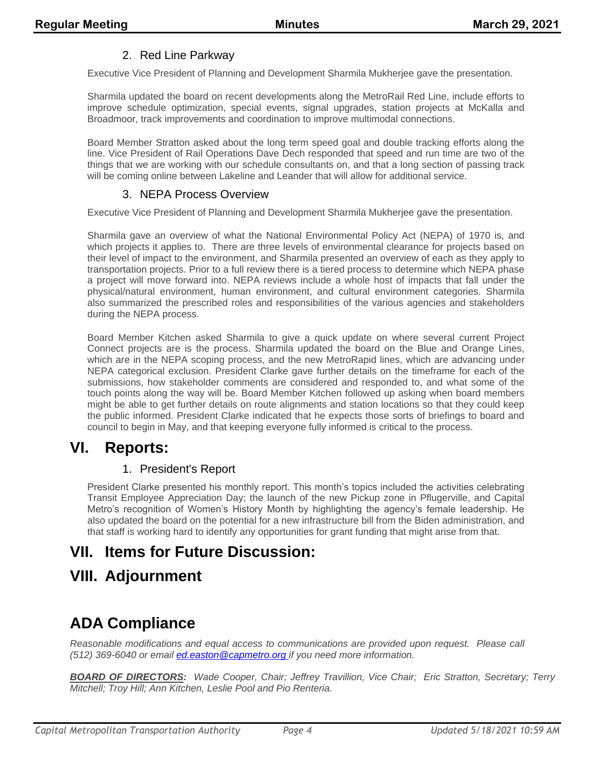### 2. Red Line Parkway

Executive Vice President of Planning and Development Sharmila Mukherjee gave the presentation.

Sharmila updated the board on recent developments along the MetroRail Red Line, include efforts to improve schedule optimization, special events, signal upgrades, station projects at McKalla and Broadmoor, track improvements and coordination to improve multimodal connections.

Board Member Stratton asked about the long term speed goal and double tracking efforts along the line. Vice President of Rail Operations Dave Dech responded that speed and run time are two of the things that we are working with our schedule consultants on, and that a long section of passing track will be coming online between Lakeline and Leander that will allow for additional service.

#### 3. NEPA Process Overview

Executive Vice President of Planning and Development Sharmila Mukherjee gave the presentation.

Sharmila gave an overview of what the National Environmental Policy Act (NEPA) of 1970 is, and which projects it applies to. There are three levels of environmental clearance for projects based on their level of impact to the environment, and Sharmila presented an overview of each as they apply to transportation projects. Prior to a full review there is a tiered process to determine which NEPA phase a project will move forward into. NEPA reviews include a whole host of impacts that fall under the physical/natural environment, human environment, and cultural environment categories. Sharmila also summarized the prescribed roles and responsibilities of the various agencies and stakeholders during the NEPA process.

Board Member Kitchen asked Sharmila to give a quick update on where several current Project Connect projects are is the process. Sharmila updated the board on the Blue and Orange Lines, which are in the NEPA scoping process, and the new MetroRapid lines, which are advancing under NEPA categorical exclusion. President Clarke gave further details on the timeframe for each of the submissions, how stakeholder comments are considered and responded to, and what some of the touch points along the way will be. Board Member Kitchen followed up asking when board members might be able to get further details on route alignments and station locations so that they could keep the public informed. President Clarke indicated that he expects those sorts of briefings to board and council to begin in May, and that keeping everyone fully informed is critical to the process.

### **VI. Reports:**

### 1. President's Report

President Clarke presented his monthly report. This month's topics included the activities celebrating Transit Employee Appreciation Day; the launch of the new Pickup zone in Pflugerville, and Capital Metro's recognition of Women's History Month by highlighting the agency's female leadership. He also updated the board on the potential for a new infrastructure bill from the Biden administration, and that staff is working hard to identify any opportunities for grant funding that might arise from that.

### **VII. Items for Future Discussion:**

### **VIII. Adjournment**

## **ADA Compliance**

*Reasonable modifications and equal access to communications are provided upon request. Please call (512) 369-6040 or email ed.easton@capmetro.org if you need more information.*

*BOARD OF DIRECTORS: Wade Cooper, Chair; Jeffrey Travillion, Vice Chair; Eric Stratton, Secretary; Terry Mitchell; Troy Hill; Ann Kitchen, Leslie Pool and Pio Renteria.*